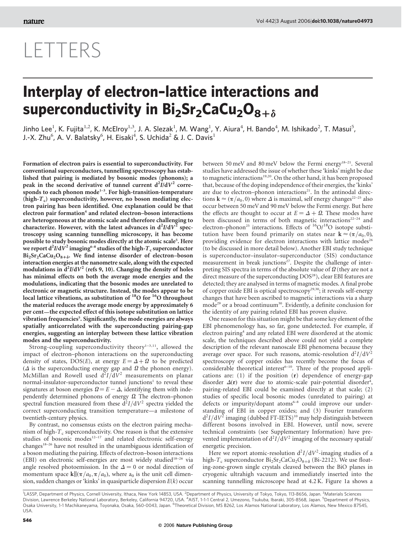## LETTERS

## Interplay of electron–lattice interactions and superconductivity in  $Bi_2Sr_2CaCu_2O_{8+\delta}$

Jinho Lee<sup>1</sup>, K. Fujita<sup>1,2</sup>, K. McElroy<sup>1,3</sup>, J. A. Slezak<sup>1</sup>, M. Wang<sup>1</sup>, Y. Aiura<sup>4</sup>, H. Bando<sup>4</sup>, M. Ishikado<sup>2</sup>, T. Masui<sup>5</sup>, J.-X. Zhu $^6$ , A. V. Balatsky $^6$ , H. Eisaki $^4$ , S. Uchida $^2$  & J. C. Davis $^1$ 

Formation of electron pairs is essential to superconductivity. For conventional superconductors, tunnelling spectroscopy has established that pairing is mediated by bosonic modes (phonons); a peak in the second derivative of tunnel current  $d^2I/dV^2$  corresponds to each phonon mode<sup>1-3</sup>. For high-transition-temperature (high- $T_c$ ) superconductivity, however, no boson mediating electron pairing has been identified. One explanation could be that electron pair formation<sup>4</sup> and related electron–boson interactions are heterogeneous at the atomic scale and therefore challenging to characterize. However, with the latest advances in  $d^2I/dV^2$  spectroscopy using scanning tunnelling microscopy, it has become possible to study bosonic modes directly at the atomic scale<sup>5</sup>. Here we report  ${\rm d}^2I/{\rm d} \dot{V}^2$  imaging $^{6-8}$  studies of the high-  $T_{\rm c}$  superconductor  $Bi<sub>2</sub>Sr<sub>2</sub>CaCu<sub>2</sub>O<sub>8+\delta</sub>$ . We find intense disorder of electron–boson interaction energies at the nanometre scale, along with the expected modulations in  $d^2I/dV^2$  (refs 9, 10). Changing the density of holes has minimal effects on both the average mode energies and the modulations, indicating that the bosonic modes are unrelated to electronic or magnetic structure. Instead, the modes appear to be local lattice vibrations, as substitution of  $^{18}$ O for  $^{16}$ O throughout the material reduces the average mode energy by approximately 6 per cent—the expected effect of this isotope substitution on lattice vibration frequencies<sup>5</sup>. Significantly, the mode energies are always spatially anticorrelated with the superconducting pairing-gap energies, suggesting an interplay between these lattice vibration modes and the superconductivity.

Strong-coupling superconductivity theory<sup>1-3,11</sup>, allowed the impact of electron–phonon interactions on the superconducting density of states, DOS(E), at energy  $E = \Delta + \Omega$  to be predicted  $(\Delta$  is the superconducting energy gap and  $\Omega$  the phonon energy). McMillan and Rowell used  $d^2I/dV^2$  measurements on planar normal-insulator-superconductor tunnel junctions<sup>1</sup> to reveal these signatures at boson energies  $\Omega = E - \Delta$ , identifying them with independently determined phonons of energy  $\Omega$ . The electron–phonon spectral function measured from these  $d^2I/dV^2$  spectra yielded the correct superconducting transition temperature—a milestone of twentieth-century physics.

By contrast, no consensus exists on the electron pairing mechanism of high- $T_c$  superconductivity. One reason is that the extensive studies of bosonic modes<sup>12-17</sup> and related electronic self-energy changes<sup>18–26</sup> have not resulted in the unambiguous identification of a boson mediating the pairing. Effects of electron–boson interactions (EBI) on electronic self-energies are most widely studied<sup>18-26</sup> via angle resolved photoemission. In the  $\Delta = 0$  or nodal direction of momentum space  $\mathbf{k}||(\pi/a_0, \pi/a_0)$ , where  $a_0$  is the unit cell dimension, sudden changes or 'kinks' in quasiparticle dispersion  $E(k)$  occur

between 50 meV and 80 meV below the Fermi energy<sup>18–21</sup>. Several studies have addressed the issue of whether these 'kinks' might be due to magnetic interactions<sup>19,20</sup>. On the other hand, it has been proposed that, because of the doping independence of their energies, the 'kinks' are due to electron-phonon interactions<sup>21</sup>. In the antinodal directions  $\mathbf{k} \approx (\pi/a_0, 0)$  where  $\Delta$  is maximal, self energy changes<sup>22–25</sup> also occur between 50 meV and 90 meV below the Fermi energy. But here the effects are thought to occur at  $E = \Delta + \Omega$ . These modes have been discussed in terms of both magnetic interactions<sup>22–24</sup> and electron–phonon<sup>25</sup> interactions. Effects of  ${}^{16}O/{}^{18}O$  isotope substitution have been found primarily on states near  $\mathbf{k} \approx (\pi/a_0, 0)$ , providing evidence for electron interactions with lattice modes<sup>26</sup> (to be discussed in more detail below). Another EBI study technique is superconductor–insulator–superconductor (SIS) conductance measurement in break junctions<sup>27</sup>. Despite the challenge of interpreting SIS spectra in terms of the absolute value of  $\Omega$  (they are not a direct measure of the superconducting DOS<sup>28</sup>), clear EBI features are detected; they are analysed in terms of magnetic modes. A final probe of copper oxide EBI is optical spectroscopy<sup>29,30</sup>; it reveals self-energy changes that have been ascribed to magnetic interactions via a sharp mode<sup>29</sup> or a broad continuum<sup>30</sup>. Evidently, a definite conclusion for the identity of any pairing related EBI has proven elusive.

One reason for this situation might be that some key element of the EBI phenomenology has, so far, gone undetected. For example, if electron pairing<sup>4</sup> and any related EBI were disordered at the atomic scale, the techniques described above could not yield a complete description of the relevant nanoscale EBI phenomena because they average over space. For such reasons, atomic-resolution  $d^2I/dV^2$ spectroscopy of copper oxides has recently become the focus of considerable theoretical interest $6-10$ . Three of the proposed applications are: (1) if the position (r) dependence of energy-gap disorder  $\Delta(\mathbf{r})$  were due to atomic-scale pair-potential disorder<sup>4</sup>, pairing-related EBI could be examined directly at that scale; (2) studies of specific local bosonic modes (unrelated to pairing) at defects or impurity/dopant atoms<sup>6-8</sup> could improve our understanding of EBI in copper oxides; and (3) Fourier transform  $d^2I/dV^2$  imaging (dubbed FT-IETS)<sup>10</sup> may help distinguish between different bosons involved in EBI. However, until now, severe technical constraints (see Supplementary Information) have prevented implementation of  $d^2I/dV^2$  imaging of the necessary spatial/ energetic precision.

Here we report atomic-resolution  $d^2I/dV^2$ -imaging studies of a high-T<sub>c</sub> superconductor  $Bi_2Sr_2CaCu_2O_{8+\delta}$  (Bi-2212). We use floating-zone-grown single crystals cleaved between the BiO planes in cryogenic ultrahigh vacuum and immediately inserted into the scanning tunnelling microscope head at 4.2 K. Figure 1a shows a

<sup>1</sup>LASSP, Department of Physics, Cornell University, Ithaca, New York 14853, USA. <sup>2</sup>Department of Physics, University of Tokyo, Tokyo, 113-8656, Japan. <sup>3</sup>Materials Sciences Division, Lawrence Berkeley National Laboratory, Berkeley, California 94720, USA. <sup>4</sup>AIST, 1-1-1 Central 2, Umezono, Tsukuba, Ibaraki, 305-8568, Japan. <sup>5</sup>Department of Physics, Osaka University, 1-1 Machikaneyama, Toyonaka, Osaka, 560-0043, Japan. <sup>6</sup>Theoretical Division, MS B262, Los Alamos National Laboratory, Los Alamos, New Mexico 87545, USA.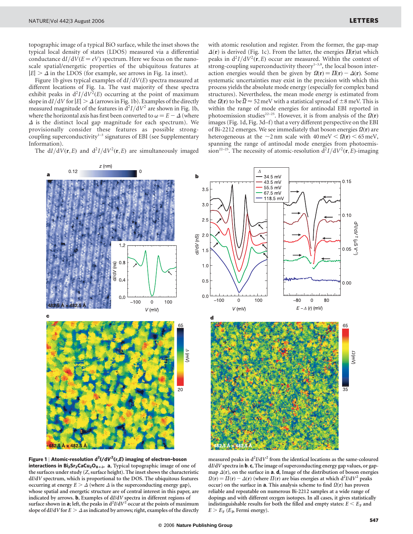topographic image of a typical BiO surface, while the inset shows the typical local density of states (LDOS) measured via a differential conductance  $dI/dV(E = eV)$  spectrum. Here we focus on the nanoscale spatial/energetic properties of the ubiquitous features at  $|E| > \Delta$  in the LDOS (for example, see arrows in Fig. 1a inset).

Figure 1b gives typical examples of  $dI/dV(E)$  spectra measured at different locations of Fig. 1a. The vast majority of these spectra exhibit peaks in  $d^2I/dV^2(E)$  occurring at the point of maximum slope in dI/dV for  $|E| > \Delta$  (arrows in Fig. 1b). Examples of the directly measured magnitude of the features in  $d^2I/dV^2$  are shown in Fig. 1b, where the horizontal axis has first been converted to  $\omega = E - \Delta$  (where  $\Delta$  is the distinct local gap magnitude for each spectrum). We provisionally consider these features as possible strongcoupling superconductivity $1-3$  signatures of EBI (see Supplementary Information).

The  $dI/dV(r, E)$  and  $d^2I/dV^2(r, E)$  are simultaneously imaged

with atomic resolution and register. From the former, the gap-map  $\Delta(\mathbf{r})$  is derived (Fig. 1c). From the latter, the energies  $\Pi(\mathbf{r})$  at which peaks in  $d^2I/dV^2(r, E)$  occur are measured. Within the context of strong-coupling superconductivity theory $1-3,9$ , the local boson interaction energies would then be given by  $\Omega(\mathbf{r}) = \Pi(\mathbf{r}) - \Delta(\mathbf{r})$ . Some systematic uncertainties may exist in the precision with which this process yields the absolute mode energy (especially for complex band structures). Nevertheless, the mean mode energy is estimated from the  $\Omega(r)$  to be  $\overline{\Omega} \approx 52 \text{ meV}$  with a statistical spread of  $\pm 8 \text{ meV}$ . This is within the range of mode energies for antinodal EBI reported in photoemission studies<sup>22–25</sup>. However, it is from analysis of the  $\Omega(r)$ images (Fig. 1d, Fig. 3d–f) that a very different perspective on the EBI of Bi-2212 emerges. We see immediately that boson energies  $\Omega(\mathbf{r})$  are heterogeneous at the  $\sim$ 2 nm scale with 40 meV <  $\Omega$ (**r**) < 65 meV, spanning the range of antinodal mode energies from photoemission<sup>22–25</sup>. The necessity of atomic-resolution  $d^2I/dV^2(\mathbf{r},E)$ -imaging



Figure 1 | Atomic-resolution d<sup>2</sup>I/dV<sup>2</sup>(r,E) imaging of electron-boson interactions in  $Bi_2Sr_2CaCu_2O_{8+\delta}$ . a, Typical topographic image of one of the surfaces under study (Z, surface height). The inset shows the characteristic dI/dV spectrum, which is proportional to the DOS. The ubiquitous features occurring at energy  $E > \Delta$  (where  $\Delta$  is the superconducting energy gap), whose spatial and energetic structure are of central interest in this paper, are indicated by arrows. **b**, Examples of  $dI/dV$  spectra in different regions of surface shown in **a**; left, the peaks in  $d^2I/dV^2$  occur at the points of maximum slope of dI/dV for  $E > \Delta$  as indicated by arrows; right, examples of the directly

measured peaks in  $d^2I/dV^2$  from the identical locations as the same-coloured dI/dV spectra in **b. c**, The image of superconducting energy gap values, or gapmap  $\Delta(r)$ , on the surface in **a. d**, Image of the distribution of boson energies  $\Omega(r) = \overline{H}(r) - \Delta(r)$  (where  $\overline{H}(r)$  are bias energies at which  $d^2I/dV^2$  peaks occur) on the surface in  $a$ . This analysis scheme to find  $\Omega(r)$  has proven reliable and repeatable on numerous Bi-2212 samples at a wide range of dopings and with different oxygen isotopes. In all cases, it gives statistically indistinguishable results for both the filled and empty states:  $E \le E_F$  and  $E > E<sub>F</sub>$  ( $E<sub>P</sub>$  Fermi energy).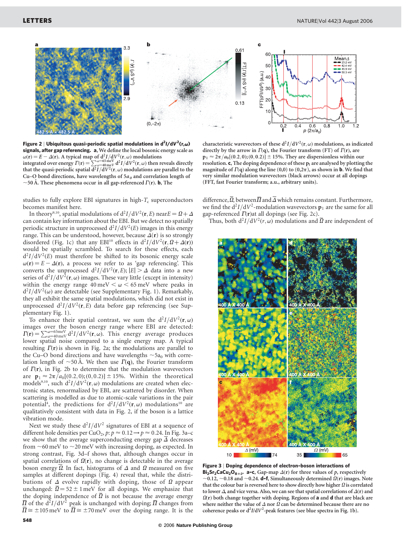

Figure 2 | Ubiquitous quasi-periodic spatial modulations in d<sup>2</sup>I/dV<sup>2</sup>(r, $\omega$ ) signals, after gap referencing. a, We define the local bosonic energy scale as  $\omega(\mathbf{r}) = E - \Delta(\mathbf{r})$ . A typical map of  $d^2I/dV^2(\mathbf{r},\omega)$  modulations integrated over energy  $\Gamma(\mathbf{r}) = \sum_{\omega=40 \text{ meV}}^{\omega=65 \text{ meV}} d^2 I/dV^2(\mathbf{r},\omega)$  then reveals directly that the quasi-periodic spatial  $d^2I/dV^2(\mathbf{r},\omega)$  modulations are parallel to the Cu–O bond directions, have wavelengths of  $5a_0$  and correlation length of  $\sim$ 50 Å. These phenomena occur in all gap-referenced  $\Gamma(\mathbf{r})$ . **b**, The

studies to fully explore EBI signatures in high- $T_c$  superconductors becomes manifest here.

In theory<sup>9,10</sup>, spatial modulations of  $d^2I/dV^2(\mathbf{r},E)$  near $E = \Omega + \Delta$ can contain key information about the EBI. But we detect no spatially periodic structure in unprocessed  $d^2I/dV^2(E)$  images in this energy range. This can be understood, however, because  $\Delta(\mathbf{r})$  is so strongly disordered (Fig. 1c) that any EBI<sup>10</sup> effects in  $d^2I/dV^2(\mathbf{r},\Omega+\Delta(\mathbf{r}))$ would be spatially scrambled. To search for these effects, each  $d^2I/dV^2(E)$  must therefore be shifted to its bosonic energy scale  $\omega(\mathbf{r}) = E - \Delta(\mathbf{r})$ , a process we refer to as 'gap referencing'. This converts the unprocessed  $d^2I/dV^2(\mathbf{r},E); |E| > \Delta$  data into a new series of  $d^2I/dV^2(\mathbf{r},\omega)$  images. These vary little (except in intensity) within the energy range  $40 \text{ meV} < \omega < 65 \text{ meV}$  where peaks in  $d^2I/dV^2(\omega)$  are detectable (see Supplementary Fig. 1). Remarkably, they all exhibit the same spatial modulations, which did not exist in unprocessed  $d^2I/dV^2(r,E)$  data before gap referencing (see Supplementary Fig. 1).

To enhance their spatial contrast, we sum the  $d^2I/dV^2(\mathbf{r},\omega)$ images over the boson energy range where EBI are detected:  $T(r) = \sum_{\omega=40 \text{ meV}}^{\omega=65 \text{ meV}} d^2I/dV^2(r,\omega)$ . This energy average produces lower spatial noise compared to a single energy map. A typical resulting  $\Gamma(\mathbf{r})$  is shown in Fig. 2a; the modulations are parallel to the Cu–O bond directions and have wavelengths  $\sim$  5a<sub>0</sub> with correlation length of  $\sim$ 50 Å. We then use  $\Gamma(q)$ , the Fourier transform of  $\Gamma(\mathbf{r})$ , in Fig. 2b to determine that the modulation wavevectors are  $p_1 \approx 2\pi/a_0[(0.2, 0); (0, 0.2)] \pm 15%$ . Within the theoretical models<sup>9,10</sup>, such  $d^2I/dV^2(\mathbf{r},\omega)$  modulations are created when electronic states, renormalized by EBI, are scattered by disorder. When scattering is modelled as due to atomic-scale variations in the pair potential<sup>4</sup>, the predictions for  $d^2I/dV^2(\mathbf{r},\omega)$  modulations<sup>10</sup> are qualitatively consistent with data in Fig. 2, if the boson is a lattice vibration mode.

Next we study these  $d^2I/dV^2$  signatures of EBI at a sequence of different hole densities per CuO<sub>2</sub>, p:  $p \approx 0.12 \rightarrow p \approx 0.24$ . In Fig. 3a–c we show that the average superconducting energy gap  $\Delta$  decreases from  $\sim$  60 meV to  $\sim$  20 meV with increasing doping, as expected. In strong contrast, Fig. 3d–f shows that, although changes occur in spatial correlations of  $\Omega(r)$ , no change is detectable in the average boson energy  $\Omega$ . In fact, histograms of  $\Delta$  and  $\Omega$  measured on five samples at different dopings (Fig. 4) reveal that, while the distributions of  $\Delta$  evolve rapidly with doping, those of  $\Omega$  appear unchanged:  $\overline{\Omega} = 52 \pm 1$  meV for all dopings. We emphasize that the doping independence of  $\Omega$  is not because the average energy  $\overline{\Pi}$  of the  $d^2I/dV^2$  peak is unchanged with doping;  $\overline{\Pi}$  changes from  $\overline{\Pi} \cong \pm 105$  meV to  $\overline{\Pi} \cong \pm 70$  meV over the doping range. It is the

characteristic wavevectors of these  $d^2I/dV^2(\mathbf{r},\omega)$  modulations, as indicated directly by the arrow in  $\Gamma$ (q), the Fourier transform (FT) of  $\Gamma$ (r), are  $p_1 \approx 2\pi/a_0[(0.2,0);(0,0.2)] \pm 15%$ . They are dispersionless within our resolution.  $c$ , The doping dependence of these  $p_1$  are analysed by plotting the magnitude of  $\Gamma$ (q) along the line (0,0) to (0,2 $\pi$ ), as shown in **b**. We find that very similar modulation wavevectors (black arrows) occur at all dopings (FFT, fast Fourier transform; a.u., arbitrary units).

difference,  $\overline{\Omega}$ , between  $\overline{\Pi}$  and  $\overline{\Delta}$  which remains constant. Furthermore, we find the  $d^2I/dV^2$ -modulation wavevectors  $p_1$  are the same for all gap-referenced  $\Gamma(\mathbf{r})$ at all dopings (see Fig. 2c).

Thus, both  $d^2I/dV^2(r,\omega)$  modulations and  $\overline{\Omega}$  are independent of



Figure 3 | Doping dependence of electron–boson interactions of Bi<sub>2</sub>Sr<sub>2</sub>CaCu<sub>2</sub>O<sub>8+ $\delta$ </sub>. a–c, Gap-map  $\Delta$ (r) for three values of p, respectively  $\sim$ 0.12,  $\sim$ 0.18 and  $\sim$ 0.24. d–f, Simultaneously determined  $\Omega(r)$  images. Note that the colour bar is reversed here to show directly how higher  $\Omega$  is correlated to lower  $\Delta$ , and vice versa. Also, we can see that spatial correlations of  $\Delta(\mathbf{r})$  and  $\Omega(r)$  both change together with doping. Regions of **a** and **d** that are black are where neither the value of  $\Delta$  nor  $\Omega$  can be determined because there are no coherence peaks or  $d^2I/dV^2$ -peak features (see blue spectra in Fig. 1b).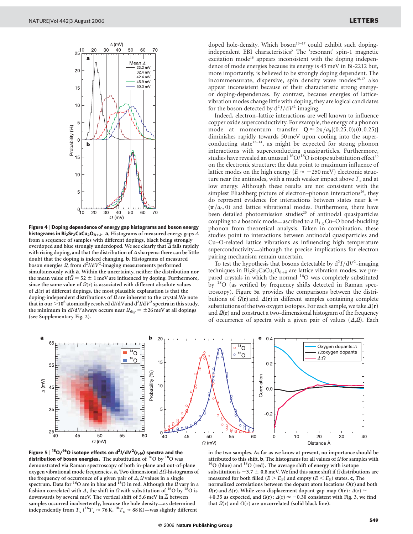

Figure 4 | Doping dependence of energy gap histograms and boson energy histograms in Bi<sub>2</sub>Sr<sub>2</sub>CaCu<sub>2</sub>O<sub>8+ $\delta$ </sub>. a, Histograms of measured energy gaps  $\Delta$ from a sequence of samples with different dopings, black being strongly overdoped and blue strongly underdoped. We see clearly that  $\Delta$  falls rapidly with rising doping, and that the distribution of  $\Delta$  sharpens: there can be little doubt that the doping is indeed changing. **b**, Histograms of measured boson energies  $\Omega$ , from  $d^2I/dV^2$ -imaging measurements performed simultaneously with a. Within the uncertainty, neither the distribution nor the mean value of  $\overline{\Omega} = 52 \pm 1$  meV are influenced by doping. Furthermore, since the same value of  $\Omega(r)$  is associated with different absolute values of  $\Delta$ (r) at different dopings, the most plausible explanation is that the doping-independent distributions of <sup>Q</sup> are inherent to the crystal.We note that in our  $>$  10<sup>6</sup> atomically resolved dI/dVand d<sup>2</sup>I/dV<sup>2</sup> spectra in this study, the minimum in dI/dV always occurs near  $\Omega_{\text{dip}} = \pm 26$  meV at all dopings (see Supplementary Fig. 2).

doped hole-density. Which boson<sup>13-17</sup> could exhibit such dopingindependent EBI characteristics? The 'resonant' spin-1 magnetic excitation mode<sup>15</sup> appears inconsistent with the doping independence of mode energies because its energy is 43 meV in Bi-2212 but, more importantly, is believed to be strongly doping dependent. The incommensurate, dispersive, spin density wave modes<sup>16,17</sup> also appear inconsistent because of their characteristic strong energyor doping-dependences. By contrast, because energies of latticevibration modes change little with doping, they are logical candidates for the boson detected by  $d^2I/dV^2$  imaging.

Indeed, electron–lattice interactions are well known to influence copper oxide superconductivity. For example, the energy of a phonon mode at momentum transfer  $Q \approx 2\pi/a_0[(0.25, 0); (0, 0.25)]$ diminishes rapidly towards 50 meV upon cooling into the superconducting state $12-14$ , as might be expected for strong phonon interactions with superconducting quasiparticles. Furthermore, studies have revealed an unusual  ${}^{16}O/{}^{18}O$  isotope substitution effect<sup>26</sup> on the electronic structure; the data point to maximum influence of lattice modes on the high energy ( $E \approx -250$  meV) electronic structure near the antinodes, with a much weaker impact above  $T_c$  and at low energy. Although these results are not consistent with the simplest Eliashberg picture of electron–phonon interactions<sup>26</sup>, they do represent evidence for interactions between states near  $\mathbf{k} \approx$  $(\pi/a_0, 0)$  and lattice vibrational modes. Furthermore, there have been detailed photoemission studies<sup>25</sup> of antinodal quasiparticles coupling to a bosonic mode—ascribed to a  $B_{1g}$  Cu–O bond-buckling phonon from theoretical analysis. Taken in combination, these studies point to interactions between antinodal quasiparticles and Cu–O-related lattice vibrations as influencing high temperature superconductivity—although the precise implications for electron pairing mechanism remain uncertain.

To test the hypothesis that bosons detectable by  $d^2I/dV^2$ -imaging techniques in  $Bi_2Sr_2CaCu_2O_{8+\delta}$  are lattice vibration modes, we prepared crystals in which the normal <sup>16</sup>O was completely substituted by <sup>18</sup>O (as verified by frequency shifts detected in Raman spectroscopy). Figure 5a provides the comparisons between the distributions of  $\Omega(\mathbf{r})$  and  $\Delta(\mathbf{r})$  in different samples containing complete substitutions of the two oxygen isotopes. For each sample, we take  $\Delta(\mathbf{r})$ and  $\Omega(\mathbf{r})$  and construct a two-dimensional histogram of the frequency of occurrence of spectra with a given pair of values  $(\Delta,\Omega)$ . Each



**Figure 5** | <sup>18</sup>O/<sup>16</sup>O isotope effects on d<sup>2</sup>I/dV<sup>2</sup>(r,ω) spectra and the distribution of boson energies. The substitution of <sup>16</sup>O by <sup>18</sup>O was demonstrated via Raman spectroscopy of both in-plane and out-of-plane oxygen vibrational mode frequencies. **a**, Two dimensional  $\Delta\Omega$ -histograms of the frequency of occurrence of a given pair of  $\Delta$ ,  $\Omega$  values in a single spectrum. Data for <sup>16</sup>O are in blue and <sup>18</sup>O in red. Although the  $\Omega$  vary in a fashion correlated with  $\Delta$ , the shift in  $\Omega$  with substitution of <sup>16</sup>O by <sup>18</sup>O is downwards by several meV. The vertical shift of 5.6 meV in  $\Delta$  between samples occurred inadvertently, because the hole density—as determined independently from  $T_c$  (<sup>16</sup> $T_c \approx 76$  K, <sup>18</sup> $T_c \approx 88$  K)—was slightly different

in the two samples. As far as we know at present, no importance should be attributed to this shift. **b**, The histograms for all values of  $\Omega$  for samples with  $16$ O (blue) and  $18$ O (red). The average shift of energy with isotope substitution is  $-3.7 \pm 0.8$  meV. We find this same shift if  $\Omega$  distributions are measured for both filled ( $E > E_F$ ) and empty ( $E < E_F$ ) states. c, The normalized correlations between the dopant atom locations  $O(r)$  and both  $\Omega(\mathbf{r})$  and  $\Delta(\mathbf{r})$ . While zero-displacement dopant-gap-map  $O(\mathbf{r}) : \Delta(\mathbf{r}) \approx$ +0.35 as expected, and  $\Omega(r)$ :  $\Delta(r) \approx -0.30$  consistent with Fig. 3, we find that  $\Omega(r)$  and  $O(r)$  are uncorrelated (solid black line).